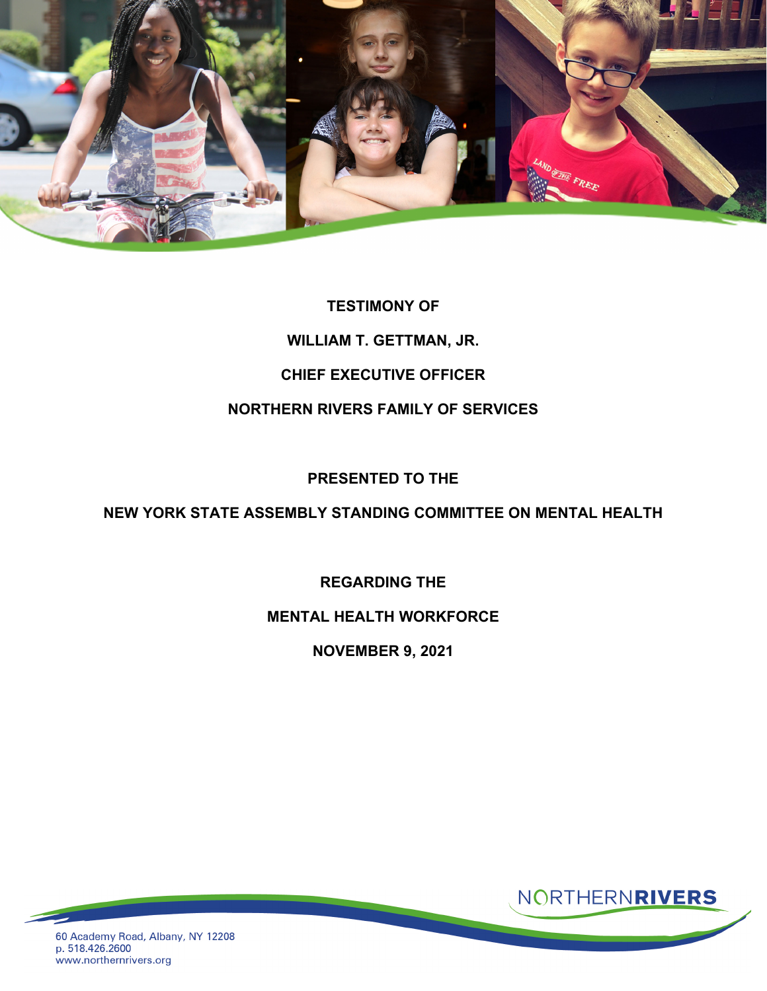

# **TESTIMONY OF WILLIAM T. GETTMAN, JR. CHIEF EXECUTIVE OFFICER NORTHERN RIVERS FAMILY OF SERVICES**

## **PRESENTED TO THE**

### **NEW YORK STATE ASSEMBLY STANDING COMMITTEE ON MENTAL HEALTH**

## **REGARDING THE**

#### **MENTAL HEALTH WORKFORCE**

**NOVEMBER 9, 2021**



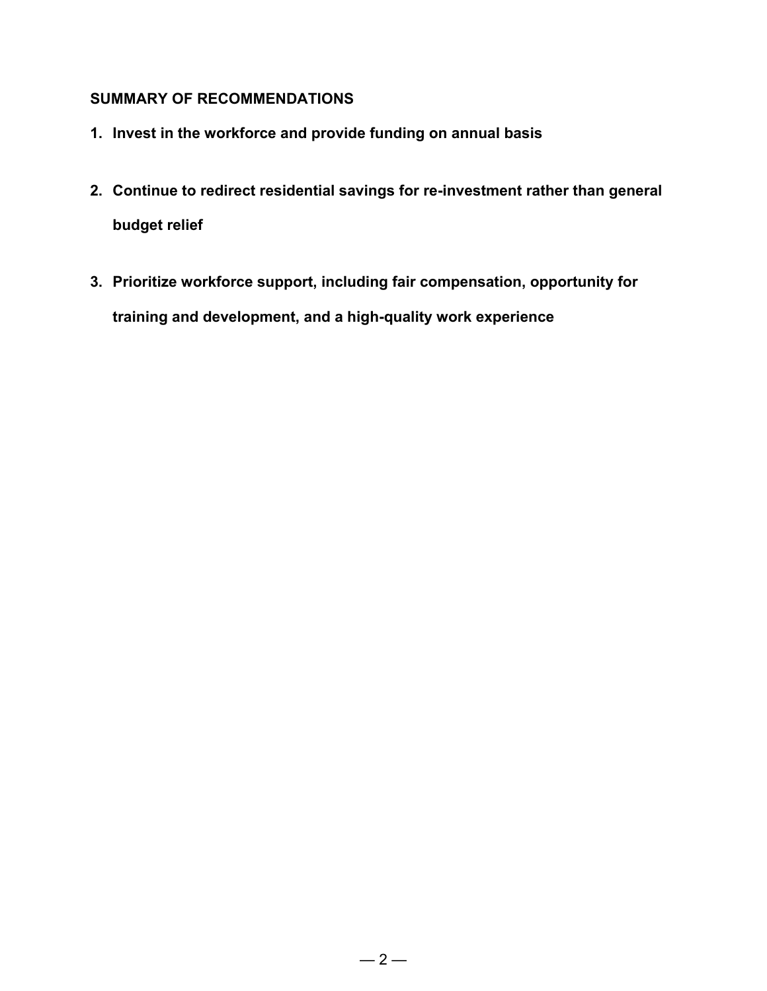## **SUMMARY OF RECOMMENDATIONS**

- **1. Invest in the workforce and provide funding on annual basis**
- **2. Continue to redirect residential savings for re-investment rather than general budget relief**
- **3. Prioritize workforce support, including fair compensation, opportunity for training and development, and a high-quality work experience**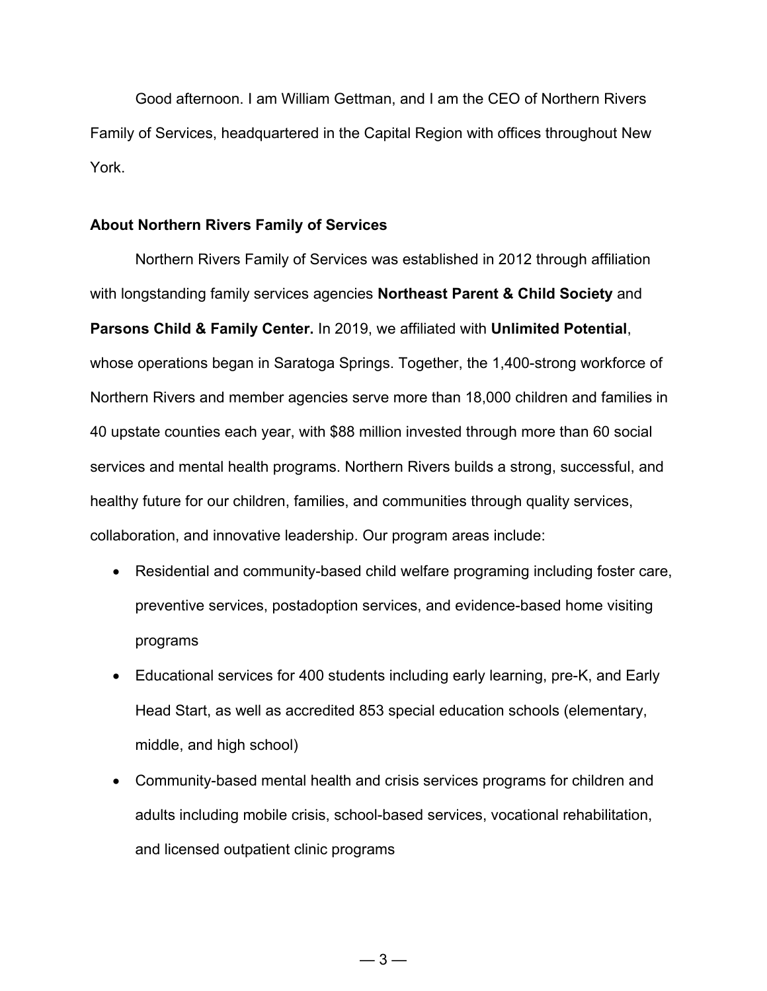Good afternoon. I am William Gettman, and I am the CEO of Northern Rivers Family of Services, headquartered in the Capital Region with offices throughout New York.

#### **About Northern Rivers Family of Services**

Northern Rivers Family of Services was established in 2012 through affiliation with longstanding family services agencies **Northeast Parent & Child Society** and **Parsons Child & Family Center.** In 2019, we affiliated with **Unlimited Potential**, whose operations began in Saratoga Springs. Together, the 1,400-strong workforce of Northern Rivers and member agencies serve more than 18,000 children and families in 40 upstate counties each year, with \$88 million invested through more than 60 social services and mental health programs. Northern Rivers builds a strong, successful, and healthy future for our children, families, and communities through quality services, collaboration, and innovative leadership. Our program areas include:

- Residential and community-based child welfare programing including foster care, preventive services, postadoption services, and evidence-based home visiting programs
- Educational services for 400 students including early learning, pre-K, and Early Head Start, as well as accredited 853 special education schools (elementary, middle, and high school)
- Community-based mental health and crisis services programs for children and adults including mobile crisis, school-based services, vocational rehabilitation, and licensed outpatient clinic programs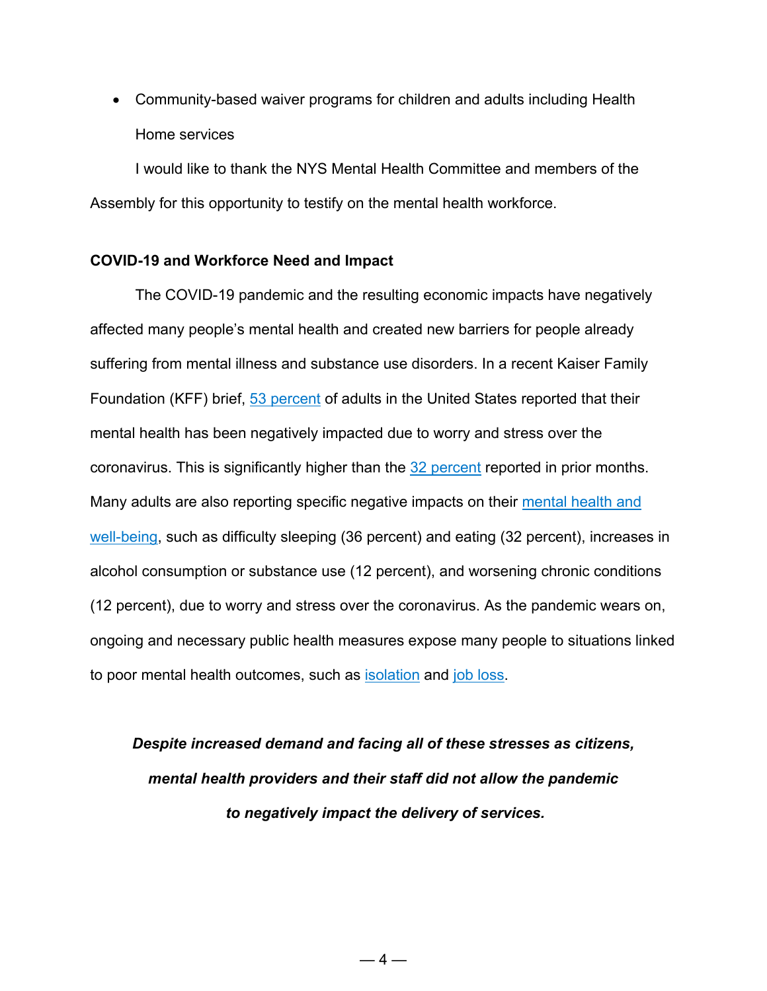• Community-based waiver programs for children and adults including Health Home services

I would like to thank the NYS Mental Health Committee and members of the Assembly for this opportunity to testify on the mental health workforce.

#### **COVID-19 and Workforce Need and Impact**

The COVID-19 pandemic and the resulting economic impacts have negatively affected many people's mental health and created new barriers for people already suffering from mental illness and substance use disorders. In a recent Kaiser Family Foundation (KFF) brief, 53 [percent](https://www.kff.org/coronavirus-covid-19/report/kff-health-tracking-poll-july-2020/) of adults in the United States reported that their mental health has been negatively impacted due to worry and stress over the coronavirus. This is significantly higher than the 32 [percent](https://www.kff.org/coronavirus-covid-19/poll-finding/kff-coronavirus-poll-march-2020/) reported in prior months. Many adults are also reporting specific negative impacts on their [mental](https://www.kff.org/coronavirus-covid-19/report/kff-health-tracking-poll-july-2020/) health and [well-being,](https://www.kff.org/coronavirus-covid-19/report/kff-health-tracking-poll-july-2020/) such as difficulty sleeping (36 percent) and eating (32 percent), increases in alcohol consumption or substance use (12 percent), and worsening chronic conditions (12 percent), due to worry and stress over the coronavirus. As the pandemic wears on, ongoing and necessary public health measures expose many people to situations linked to poor mental health outcomes, such as [isolation](https://www.cdc.gov/mentalhealth/learn/index.htm) and job [loss.](https://www.cdc.gov/violenceprevention/suicide/riskprotectivefactors.html)

*Despite increased demand and facing all of these stresses as citizens, mental health providers and their staff did not allow the pandemic to negatively impact the delivery of services.*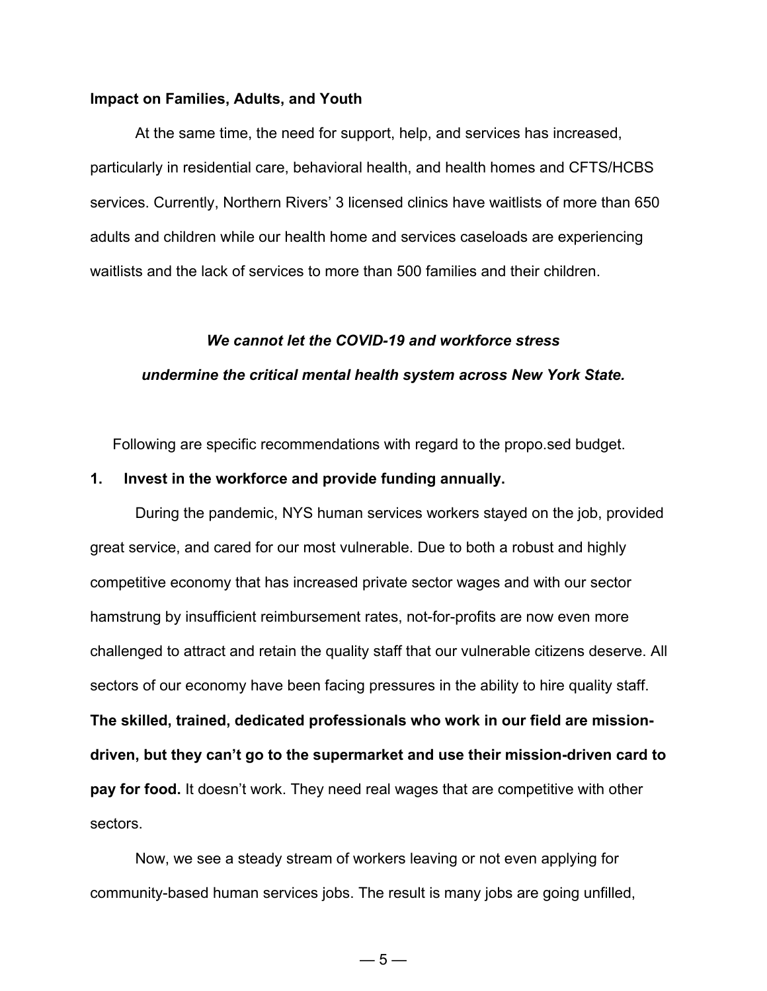#### **Impact on Families, Adults, and Youth**

At the same time, the need for support, help, and services has increased, particularly in residential care, behavioral health, and health homes and CFTS/HCBS services. Currently, Northern Rivers' 3 licensed clinics have waitlists of more than 650 adults and children while our health home and services caseloads are experiencing waitlists and the lack of services to more than 500 families and their children.

# *We cannot let the COVID-19 and workforce stress undermine the critical mental health system across New York State.*

Following are specific recommendations with regard to the propo.sed budget.

#### **1. Invest in the workforce and provide funding annually.**

During the pandemic, NYS human services workers stayed on the job, provided great service, and cared for our most vulnerable. Due to both a robust and highly competitive economy that has increased private sector wages and with our sector hamstrung by insufficient reimbursement rates, not-for-profits are now even more challenged to attract and retain the quality staff that our vulnerable citizens deserve. All sectors of our economy have been facing pressures in the ability to hire quality staff. **The skilled, trained, dedicated professionals who work in our field are missiondriven, but they can't go to the supermarket and use their mission-driven card to pay for food.** It doesn't work. They need real wages that are competitive with other sectors.

Now, we see a steady stream of workers leaving or not even applying for community-based human services jobs. The result is many jobs are going unfilled,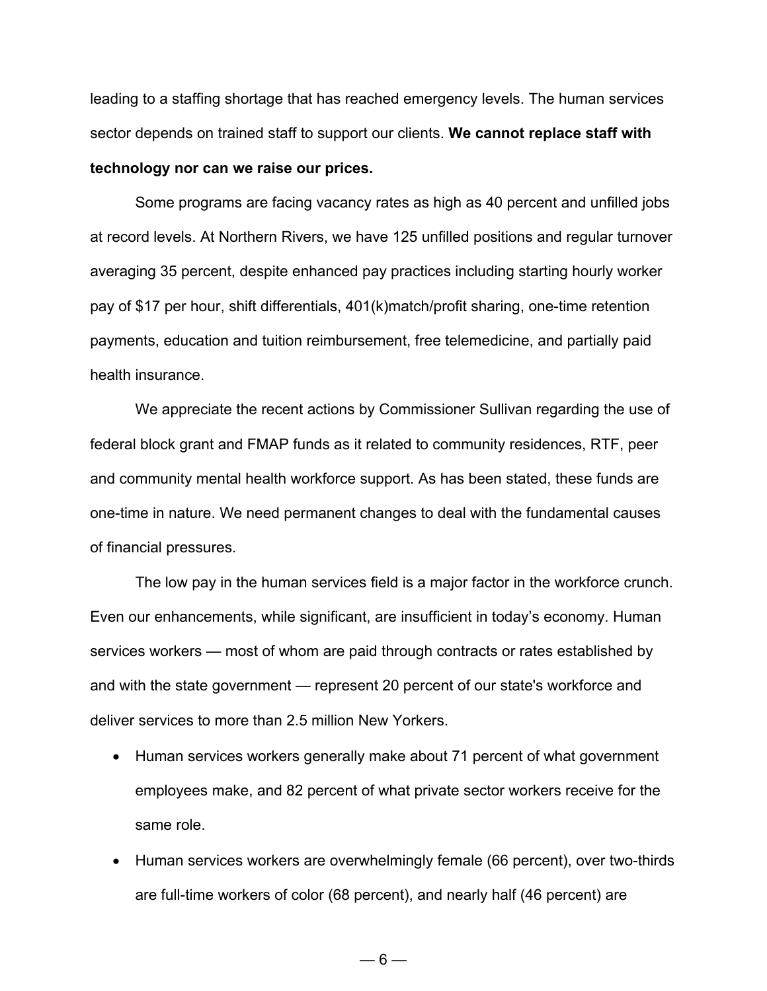leading to a staffing shortage that has reached emergency levels. The human services sector depends on trained staff to support our clients. **We cannot replace staff with technology nor can we raise our prices.**

Some programs are facing vacancy rates as high as 40 percent and unfilled jobs at record levels. At Northern Rivers, we have 125 unfilled positions and regular turnover averaging 35 percent, despite enhanced pay practices including starting hourly worker pay of \$17 per hour, shift differentials, 401(k)match/profit sharing, one-time retention payments, education and tuition reimbursement, free telemedicine, and partially paid health insurance.

We appreciate the recent actions by Commissioner Sullivan regarding the use of federal block grant and FMAP funds as it related to community residences, RTF, peer and community mental health workforce support. As has been stated, these funds are one-time in nature. We need permanent changes to deal with the fundamental causes of financial pressures.

The low pay in the human services field is a major factor in the workforce crunch. Even our enhancements, while significant, are insufficient in today's economy. Human services workers — most of whom are paid through contracts or rates established by and with the state government — represent 20 percent of our state's workforce and deliver services to more than 2.5 million New Yorkers.

- Human services workers generally make about 71 percent of what government employees make, and 82 percent of what private sector workers receive for the same role.
- Human services workers are overwhelmingly female (66 percent), over two-thirds are full-time workers of color (68 percent), and nearly half (46 percent) are

 $-6-$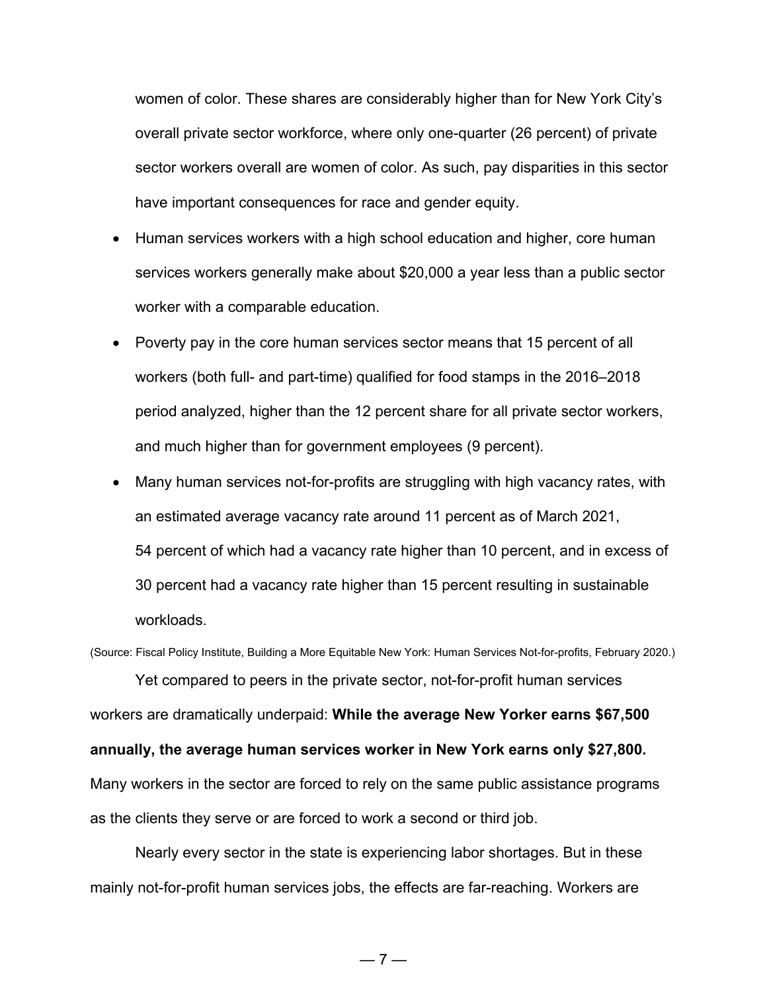women of color. These shares are considerably higher than for New York City's overall private sector workforce, where only one-quarter (26 percent) of private sector workers overall are women of color. As such, pay disparities in this sector have important consequences for race and gender equity.

- Human services workers with a high school education and higher, core human services workers generally make about \$20,000 a year less than a public sector worker with a comparable education.
- Poverty pay in the core human services sector means that 15 percent of all workers (both full- and part-time) qualified for food stamps in the 2016–2018 period analyzed, higher than the 12 percent share for all private sector workers, and much higher than for government employees (9 percent).
- Many human services not-for-profits are struggling with high vacancy rates, with an estimated average vacancy rate around 11 percent as of March 2021, 54 percent of which had a vacancy rate higher than 10 percent, and in excess of 30 percent had a vacancy rate higher than 15 percent resulting in sustainable workloads.

(Source: Fiscal Policy Institute, Building a More Equitable New York: Human Services Not-for-profits, February 2020.)

Yet compared to peers in the private sector, not-for-profit human services workers are dramatically underpaid: **While the average New Yorker earns \$67,500 annually, the average human services worker in New York earns only \$27,800.** Many workers in the sector are forced to rely on the same public assistance programs as the clients they serve or are forced to work a second or third job.

Nearly every sector in the state is experiencing labor shortages. But in these mainly not-for-profit human services jobs, the effects are far-reaching. Workers are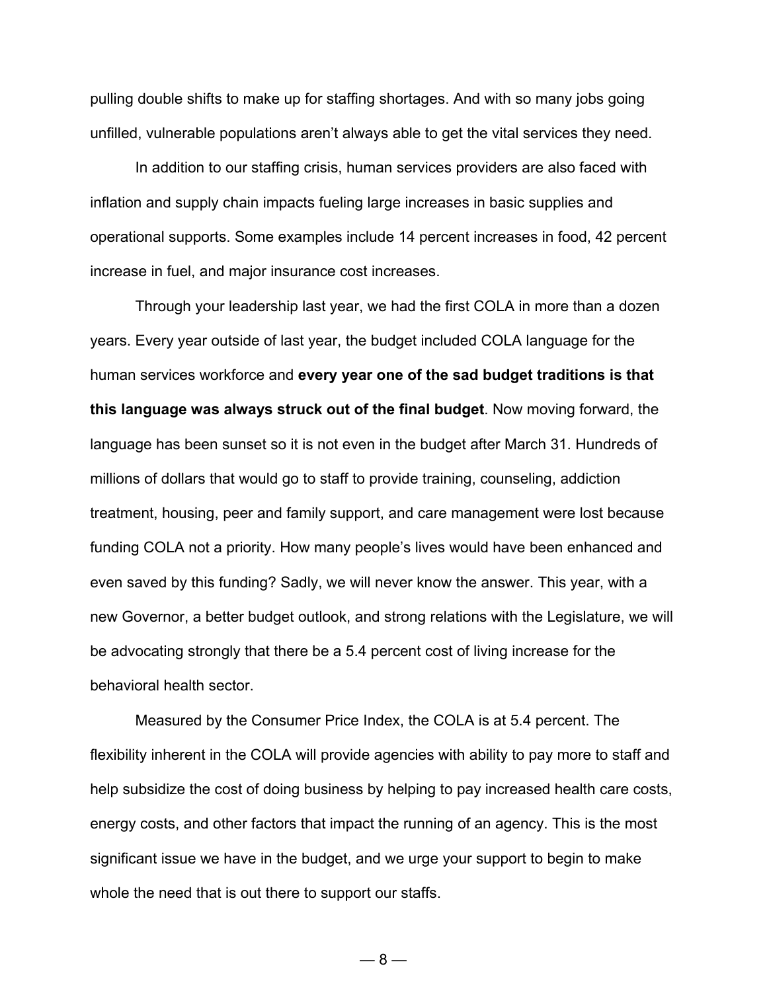pulling double shifts to make up for staffing shortages. And with so many jobs going unfilled, vulnerable populations aren't always able to get the vital services they need.

In addition to our staffing crisis, human services providers are also faced with inflation and supply chain impacts fueling large increases in basic supplies and operational supports. Some examples include 14 percent increases in food, 42 percent increase in fuel, and major insurance cost increases.

Through your leadership last year, we had the first COLA in more than a dozen years. Every year outside of last year, the budget included COLA language for the human services workforce and **every year one of the sad budget traditions is that this language was always struck out of the final budget**. Now moving forward, the language has been sunset so it is not even in the budget after March 31. Hundreds of millions of dollars that would go to staff to provide training, counseling, addiction treatment, housing, peer and family support, and care management were lost because funding COLA not a priority. How many people's lives would have been enhanced and even saved by this funding? Sadly, we will never know the answer. This year, with a new Governor, a better budget outlook, and strong relations with the Legislature, we will be advocating strongly that there be a 5.4 percent cost of living increase for the behavioral health sector.

Measured by the Consumer Price Index, the COLA is at 5.4 percent. The flexibility inherent in the COLA will provide agencies with ability to pay more to staff and help subsidize the cost of doing business by helping to pay increased health care costs, energy costs, and other factors that impact the running of an agency. This is the most significant issue we have in the budget, and we urge your support to begin to make whole the need that is out there to support our staffs.

 $-8-$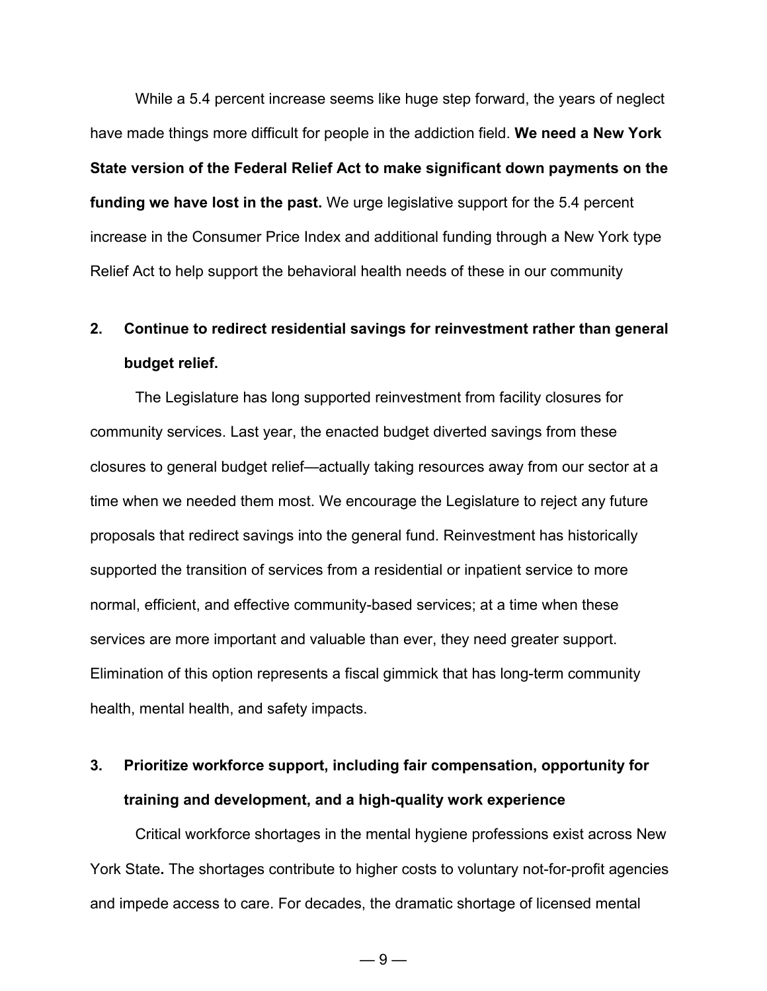While a 5.4 percent increase seems like huge step forward, the years of neglect have made things more difficult for people in the addiction field. **We need a New York State version of the Federal Relief Act to make significant down payments on the funding we have lost in the past.** We urge legislative support for the 5.4 percent increase in the Consumer Price Index and additional funding through a New York type Relief Act to help support the behavioral health needs of these in our community

# **2. Continue to redirect residential savings for reinvestment rather than general budget relief.**

The Legislature has long supported reinvestment from facility closures for community services. Last year, the enacted budget diverted savings from these closures to general budget relief—actually taking resources away from our sector at a time when we needed them most. We encourage the Legislature to reject any future proposals that redirect savings into the general fund. Reinvestment has historically supported the transition of services from a residential or inpatient service to more normal, efficient, and effective community-based services; at a time when these services are more important and valuable than ever, they need greater support. Elimination of this option represents a fiscal gimmick that has long-term community health, mental health, and safety impacts.

# **3. Prioritize workforce support, including fair compensation, opportunity for training and development, and a high-quality work experience**

Critical workforce shortages in the mental hygiene professions exist across New York State**.** The shortages contribute to higher costs to voluntary not-for-profit agencies and impede access to care. For decades, the dramatic shortage of licensed mental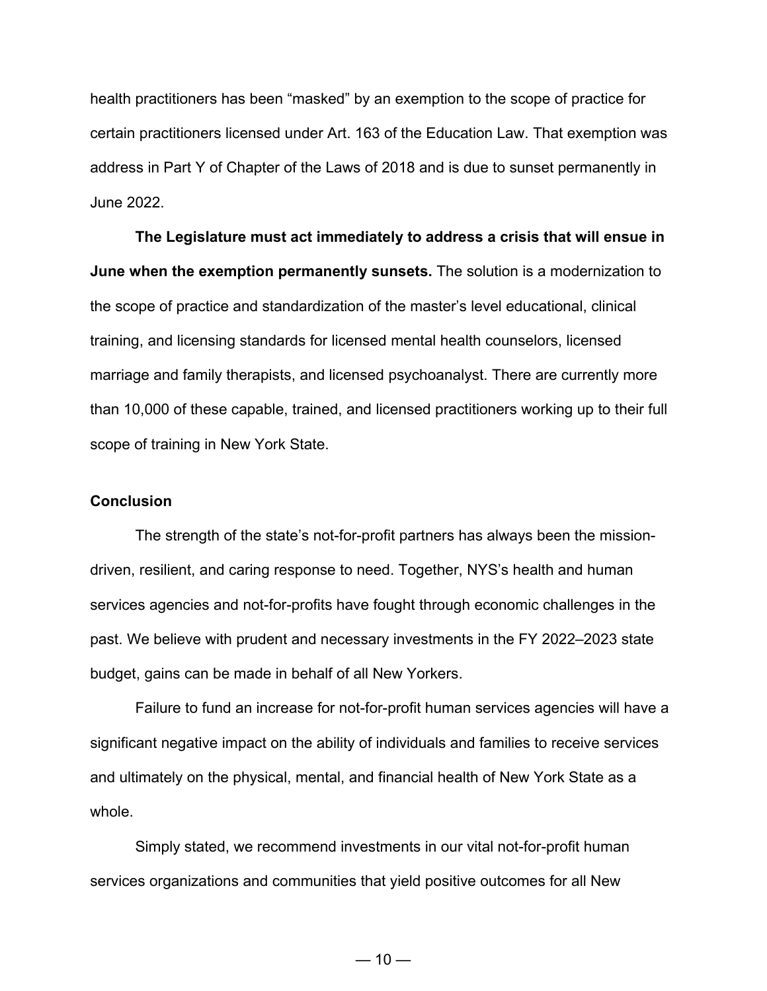health practitioners has been "masked" by an exemption to the scope of practice for certain practitioners licensed under Art. 163 of the Education Law. That exemption was address in Part Y of Chapter of the Laws of 2018 and is due to sunset permanently in June 2022.

**The Legislature must act immediately to address a crisis that will ensue in June when the exemption permanently sunsets.** The solution is a modernization to the scope of practice and standardization of the master's level educational, clinical training, and licensing standards for licensed mental health counselors, licensed marriage and family therapists, and licensed psychoanalyst. There are currently more than 10,000 of these capable, trained, and licensed practitioners working up to their full scope of training in New York State.

#### **Conclusion**

The strength of the state's not-for-profit partners has always been the missiondriven, resilient, and caring response to need. Together, NYS's health and human services agencies and not-for-profits have fought through economic challenges in the past. We believe with prudent and necessary investments in the FY 2022–2023 state budget, gains can be made in behalf of all New Yorkers.

Failure to fund an increase for not-for-profit human services agencies will have a significant negative impact on the ability of individuals and families to receive services and ultimately on the physical, mental, and financial health of New York State as a whole.

Simply stated, we recommend investments in our vital not-for-profit human services organizations and communities that yield positive outcomes for all New

 $-10-$